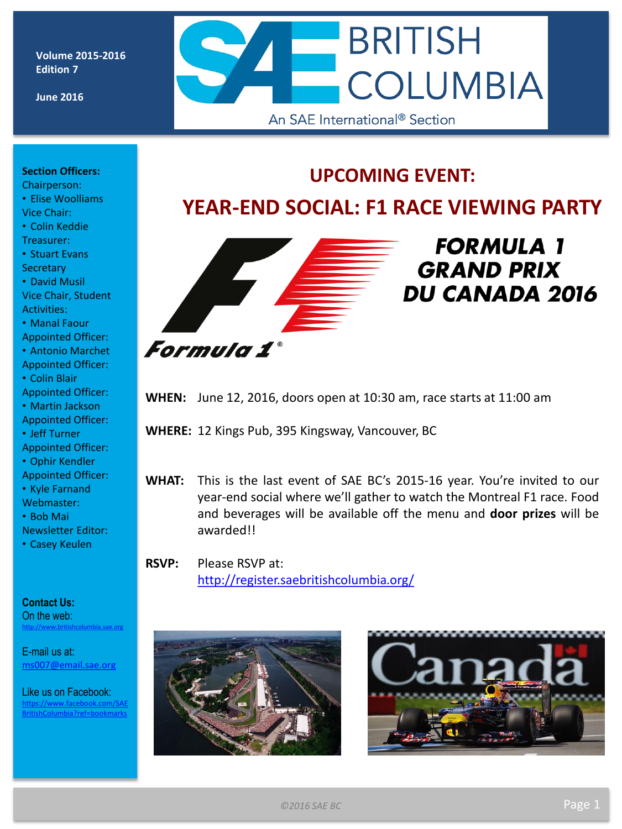**Volume 2015-2016 Edition 7**

**June 2016**

# **BRITISH COLUMBIA** An SAE International<sup>®</sup> Section

**UPCOMING EVENT:**

**YEAR-END SOCIAL: F1 RACE VIEWING PARTY**

#### **Section Officers:**

Chairperson: • Elise Woolliams Vice Chair:

• Colin Keddie

Treasurer:

• Stuart Evans **Secretary** 

• David Musil Vice Chair, Student Activities:

• Manal Faour

Appointed Officer:

• Antonio Marchet Appointed Officer:

• Colin Blair

Appointed Officer:

• Martin Jackson Appointed Officer:

- Jeff Turner
- Appointed Officer:

• Ophir Kendler

Appointed Officer:

• Kyle Farnand Webmaster:

• Bob Mai

Newsletter Editor:

• Casey Keulen

**Contact Us:**

On the web: <http://www.britishcolumbia.sae.org>

E-mail us at: [ms007@email.sae.org](mailto:ms007@email.sae.org) 

Like us on Facebook: www.facebook.com/SAE Columbia?ref=bookmarks



## **FORMULA 1 GRAND PRIX**

**DU CANADA 2016** 

**WHEN:** June 12, 2016, doors open at 10:30 am, race starts at 11:00 am

**WHERE:** 12 Kings Pub, 395 Kingsway, Vancouver, BC

**WHAT:** This is the last event of SAE BC's 2015-16 year. You're invited to our year-end social where we'll gather to watch the Montreal F1 race. Food and beverages will be available off the menu and **door prizes** will be awarded!!

**RSVP:** Please RSVP at: <http://register.saebritishcolumbia.org/>



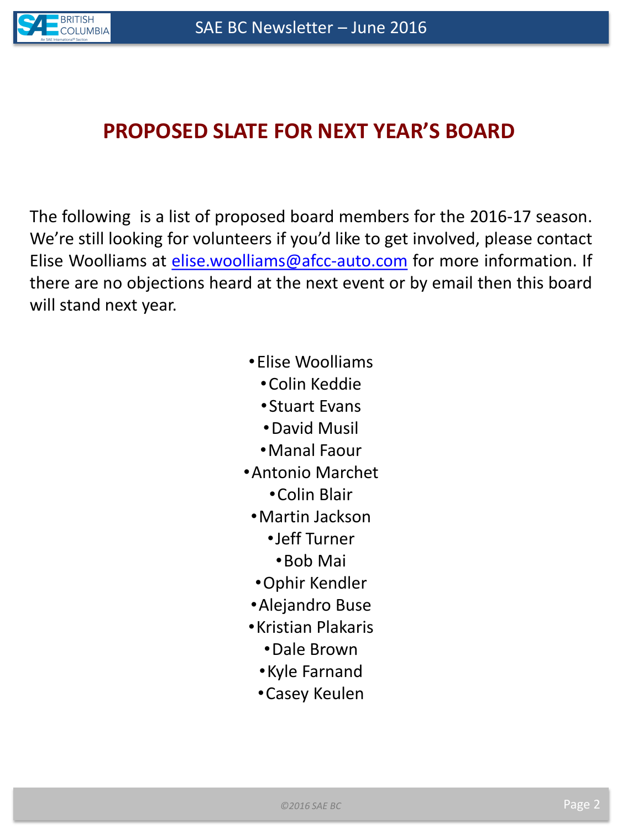

## **PROPOSED SLATE FOR NEXT YEAR'S BOARD**

The following is a list of proposed board members for the 2016-17 season. We're still looking for volunteers if you'd like to get involved, please contact Elise Woolliams at [elise.woolliams@afcc-auto.com](mailto:elise.woolliams@afcc-auto.com) for more information. If there are no objections heard at the next event or by email then this board will stand next year.

- •Elise Woolliams
	- •Colin Keddie
	- •Stuart Evans
	- •David Musil
	- •Manal Faour
- •Antonio Marchet
	- •Colin Blair
	- •Martin Jackson
		- •Jeff Turner
		- •Bob Mai
	- •Ophir Kendler
	- •Alejandro Buse
- •Kristian Plakaris
	- •Dale Brown
	- •Kyle Farnand
	- •Casey Keulen